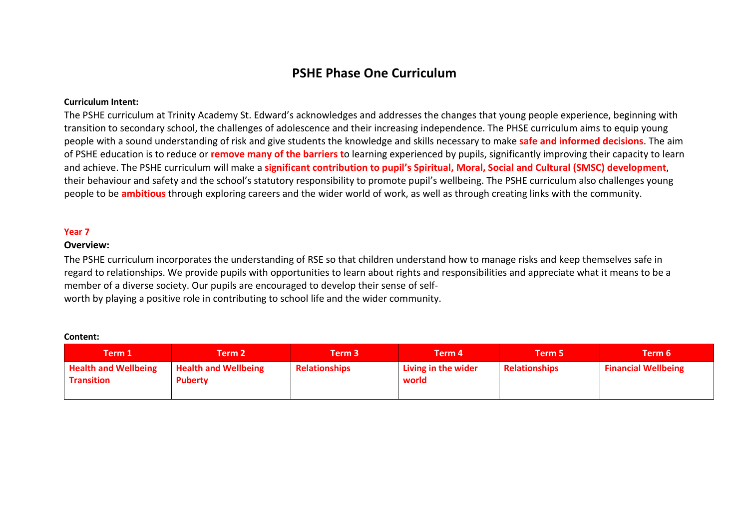# **PSHE Phase One Curriculum**

### **Curriculum Intent:**

The PSHE curriculum at Trinity Academy St. Edward's acknowledges and addresses the changes that young people experience, beginning with transition to secondary school, the challenges of adolescence and their increasing independence. The PHSE curriculum aims to equip young people with a sound understanding of risk and give students the knowledge and skills necessary to make **safe and informed decisions**. The aim of PSHE education is to reduce or **remove many of the barriers t**o learning experienced by pupils, significantly improving their capacity to learn and achieve. The PSHE curriculum will make a **significant contribution to pupil's Spiritual, Moral, Social and Cultural (SMSC) development**, their behaviour and safety and the school's statutory responsibility to promote pupil's wellbeing. The PSHE curriculum also challenges young people to be **ambitious** through exploring careers and the wider world of work, as well as through creating links with the community.

### **Year 7**

## **Overview:**

The PSHE curriculum incorporates the understanding of RSE so that children understand how to manage risks and keep themselves safe in regard to relationships. We provide pupils with opportunities to learn about rights and responsibilities and appreciate what it means to be a member of a diverse society. Our pupils are encouraged to develop their sense of self‐ worth by playing a positive role in contributing to school life and the wider community.

#### **Content:**

| Term 1                                           | Term 2 $\overline{ }$                         | Term 3 $\,$          | Term 4                       | Term 5'              | Term 6                     |
|--------------------------------------------------|-----------------------------------------------|----------------------|------------------------------|----------------------|----------------------------|
| <b>Health and Wellbeing</b><br><b>Transition</b> | <b>Health and Wellbeing</b><br><b>Puberty</b> | <b>Relationships</b> | Living in the wider<br>world | <b>Relationships</b> | <b>Financial Wellbeing</b> |